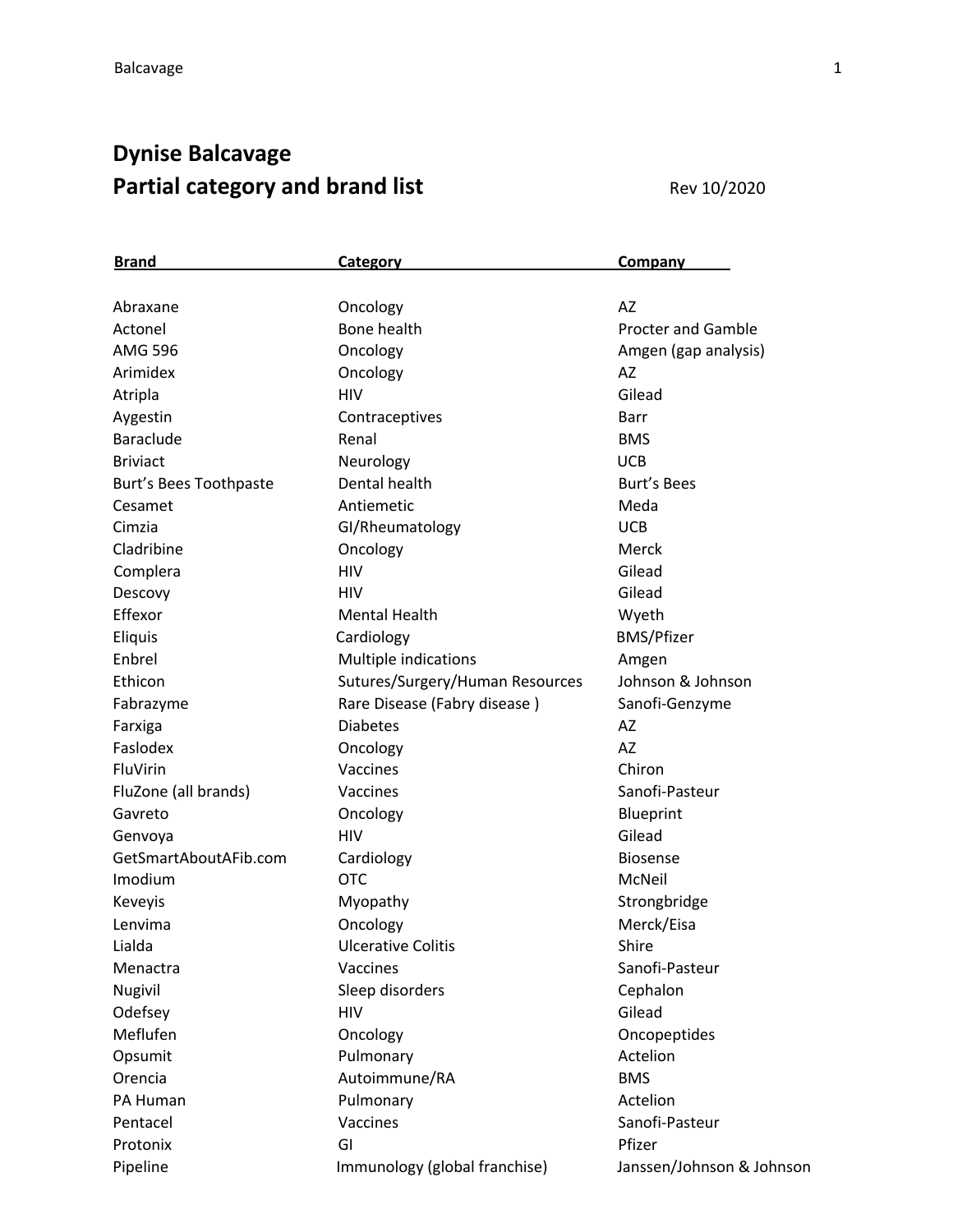## **Dynise Balcavage Partial category and brand list Rev 10/2020**

| <b>Brand</b>           | <b>Category</b>                 | <b>Company</b>            |
|------------------------|---------------------------------|---------------------------|
|                        |                                 |                           |
| Abraxane               | Oncology                        | AZ                        |
| Actonel                | Bone health                     | <b>Procter and Gamble</b> |
| <b>AMG 596</b>         | Oncology                        | Amgen (gap analysis)      |
| Arimidex               | Oncology                        | AZ                        |
| Atripla                | <b>HIV</b>                      | Gilead                    |
| Aygestin               | Contraceptives                  | Barr                      |
| <b>Baraclude</b>       | Renal                           | <b>BMS</b>                |
| <b>Briviact</b>        | Neurology                       | <b>UCB</b>                |
| Burt's Bees Toothpaste | Dental health                   | <b>Burt's Bees</b>        |
| Cesamet                | Antiemetic                      | Meda                      |
| Cimzia                 | GI/Rheumatology                 | <b>UCB</b>                |
| Cladribine             | Oncology                        | Merck                     |
| Complera               | <b>HIV</b>                      | Gilead                    |
| Descovy                | <b>HIV</b>                      | Gilead                    |
| Effexor                | <b>Mental Health</b>            | Wyeth                     |
| Eliquis                | Cardiology                      | <b>BMS/Pfizer</b>         |
| Enbrel                 | Multiple indications            | Amgen                     |
| Ethicon                | Sutures/Surgery/Human Resources | Johnson & Johnson         |
| Fabrazyme              | Rare Disease (Fabry disease)    | Sanofi-Genzyme            |
| Farxiga                | <b>Diabetes</b>                 | AZ                        |
| Faslodex               | Oncology                        | <b>AZ</b>                 |
| FluVirin               | Vaccines                        | Chiron                    |
| FluZone (all brands)   | Vaccines                        | Sanofi-Pasteur            |
| Gavreto                | Oncology                        | Blueprint                 |
| Genvoya                | <b>HIV</b>                      | Gilead                    |
| GetSmartAboutAFib.com  | Cardiology                      | <b>Biosense</b>           |
| Imodium                | <b>OTC</b>                      | McNeil                    |
| Keveyis                | Myopathy                        | Strongbridge              |
| Lenvima                | Oncology                        | Merck/Eisa                |
| Lialda                 | <b>Ulcerative Colitis</b>       | Shire                     |
| Menactra               | Vaccines                        | Sanofi-Pasteur            |
| Nugivil                | Sleep disorders                 | Cephalon                  |
| Odefsey                | <b>HIV</b>                      | Gilead                    |
| Meflufen               | Oncology                        | Oncopeptides              |
| Opsumit                | Pulmonary                       | Actelion                  |
| Orencia                | Autoimmune/RA                   | <b>BMS</b>                |
| PA Human               | Pulmonary                       | Actelion                  |
| Pentacel               | Vaccines                        | Sanofi-Pasteur            |
| Protonix               | GI                              | Pfizer                    |
| Pipeline               | Immunology (global franchise)   | Janssen/Johnson & Johnson |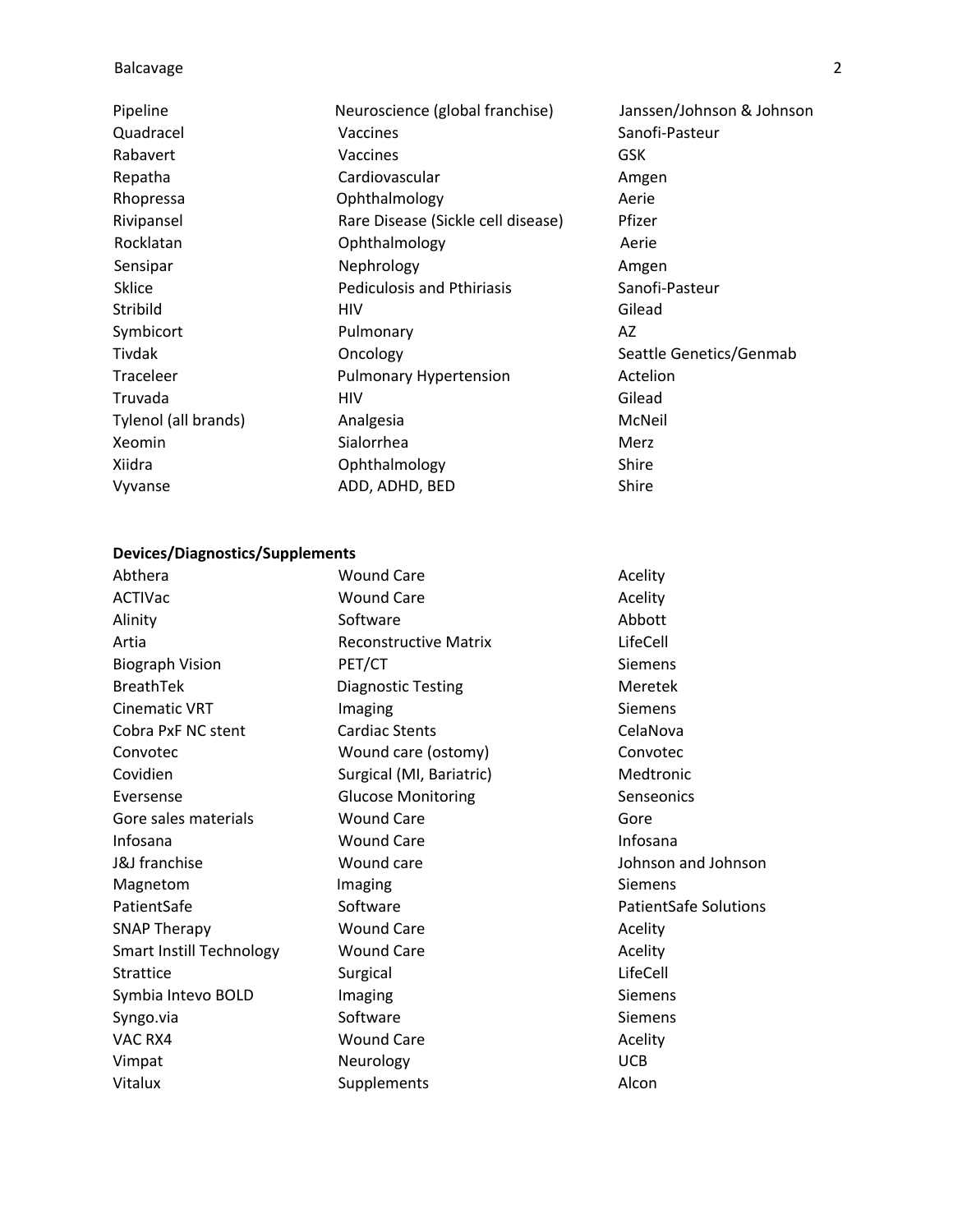## Balcavage 2

| Pipeline             | Neuroscience (global franchise)    | Janssen/Johnson & Johnson |
|----------------------|------------------------------------|---------------------------|
| Quadracel            | Vaccines                           | Sanofi-Pasteur            |
| Rabavert             | Vaccines                           | <b>GSK</b>                |
| Repatha              | Cardiovascular                     | Amgen                     |
| Rhopressa            | Ophthalmology                      | Aerie                     |
| Rivipansel           | Rare Disease (Sickle cell disease) | Pfizer                    |
| Rocklatan            | Ophthalmology                      | Aerie                     |
| Sensipar             | Nephrology                         | Amgen                     |
| Sklice               | <b>Pediculosis and Pthiriasis</b>  | Sanofi-Pasteur            |
| Stribild             | <b>HIV</b>                         | Gilead                    |
| Symbicort            | Pulmonary                          | AZ                        |
| Tivdak               | Oncology                           | Seattle Genetics/Genmab   |
| Traceleer            | <b>Pulmonary Hypertension</b>      | Actelion                  |
| Truvada              | <b>HIV</b>                         | Gilead                    |
| Tylenol (all brands) | Analgesia                          | McNeil                    |
| Xeomin               | Sialorrhea                         | Merz                      |
| Xiidra               | Ophthalmology                      | Shire                     |
| Vyvanse              | ADD, ADHD, BED                     | Shire                     |

## **Devices/Diagnostics/Supplements**

| Abthera                         | <b>Wound Care</b>            | Acelity                      |
|---------------------------------|------------------------------|------------------------------|
| ACTIVac                         | <b>Wound Care</b>            | Acelity                      |
| Alinity                         | Software                     | Abbott                       |
| Artia                           | <b>Reconstructive Matrix</b> | LifeCell                     |
| <b>Biograph Vision</b>          | PET/CT                       | <b>Siemens</b>               |
| <b>BreathTek</b>                | <b>Diagnostic Testing</b>    | Meretek                      |
| <b>Cinematic VRT</b>            | Imaging                      | <b>Siemens</b>               |
| Cobra PxF NC stent              | <b>Cardiac Stents</b>        | CelaNova                     |
| Convotec                        | Wound care (ostomy)          | Convotec                     |
| Covidien                        | Surgical (MI, Bariatric)     | Medtronic                    |
| Eversense                       | <b>Glucose Monitoring</b>    | Senseonics                   |
| Gore sales materials            | <b>Wound Care</b>            | Gore                         |
| Infosana                        | <b>Wound Care</b>            | Infosana                     |
| <b>J&amp;J</b> franchise        | Wound care                   | Johnson and Johnson          |
| Magnetom                        | Imaging                      | Siemens                      |
| PatientSafe                     | Software                     | <b>PatientSafe Solutions</b> |
| <b>SNAP Therapy</b>             | <b>Wound Care</b>            | Acelity                      |
| <b>Smart Instill Technology</b> | <b>Wound Care</b>            | Acelity                      |
| Strattice                       | Surgical                     | LifeCell                     |
| Symbia Intevo BOLD              | Imaging                      | <b>Siemens</b>               |
| Syngo.via                       | Software                     | <b>Siemens</b>               |
| VAC RX4                         | <b>Wound Care</b>            | Acelity                      |
| Vimpat                          | Neurology                    | <b>UCB</b>                   |
| Vitalux                         | Supplements                  | Alcon                        |